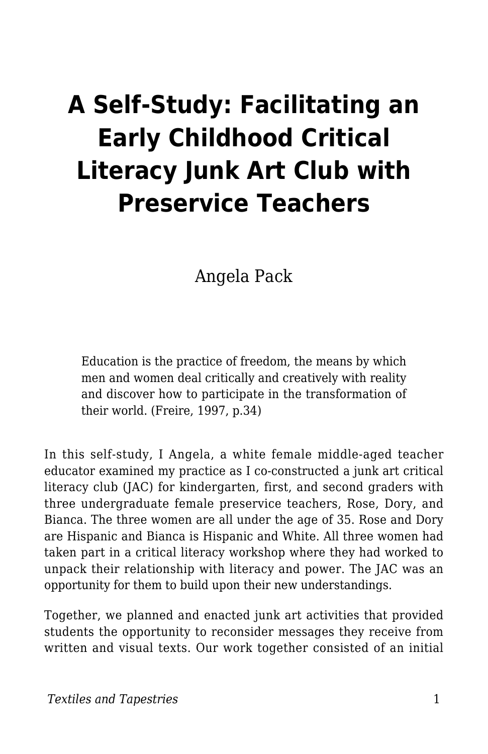# **A Self-Study: Facilitating an Early Childhood Critical Literacy Junk Art Club with Preservice Teachers**

Angela Pack

Education is the practice of freedom, the means by which men and women deal critically and creatively with reality and discover how to participate in the transformation of their world. (Freire, 1997, p.34)

In this self-study, I Angela, a white female middle-aged teacher educator examined my practice as I co-constructed a junk art critical literacy club (JAC) for kindergarten, first, and second graders with three undergraduate female preservice teachers, Rose, Dory, and Bianca. The three women are all under the age of 35. Rose and Dory are Hispanic and Bianca is Hispanic and White. All three women had taken part in a critical literacy workshop where they had worked to unpack their relationship with literacy and power. The JAC was an opportunity for them to build upon their new understandings.

Together, we planned and enacted junk art activities that provided students the opportunity to reconsider messages they receive from written and visual texts. Our work together consisted of an initial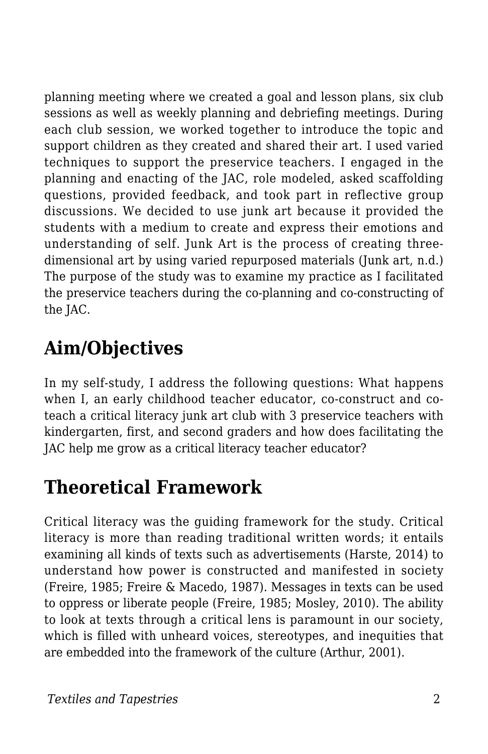planning meeting where we created a goal and lesson plans, six club sessions as well as weekly planning and debriefing meetings. During each club session, we worked together to introduce the topic and support children as they created and shared their art. I used varied techniques to support the preservice teachers. I engaged in the planning and enacting of the JAC, role modeled, asked scaffolding questions, provided feedback, and took part in reflective group discussions. We decided to use junk art because it provided the students with a medium to create and express their emotions and understanding of self. Junk Art is the process of creating threedimensional art by using varied repurposed materials (Junk art, n.d.) The purpose of the study was to examine my practice as I facilitated the preservice teachers during the co-planning and co-constructing of the JAC.

# **Aim/Objectives**

In my self-study, I address the following questions: What happens when I, an early childhood teacher educator, co-construct and coteach a critical literacy junk art club with 3 preservice teachers with kindergarten, first, and second graders and how does facilitating the JAC help me grow as a critical literacy teacher educator?

### **Theoretical Framework**

Critical literacy was the guiding framework for the study. Critical literacy is more than reading traditional written words; it entails examining all kinds of texts such as advertisements (Harste, 2014) to understand how power is constructed and manifested in society (Freire, 1985; Freire & Macedo, 1987). Messages in texts can be used to oppress or liberate people (Freire, 1985; Mosley, 2010). The ability to look at texts through a critical lens is paramount in our society, which is filled with unheard voices, stereotypes, and inequities that are embedded into the framework of the culture (Arthur, 2001).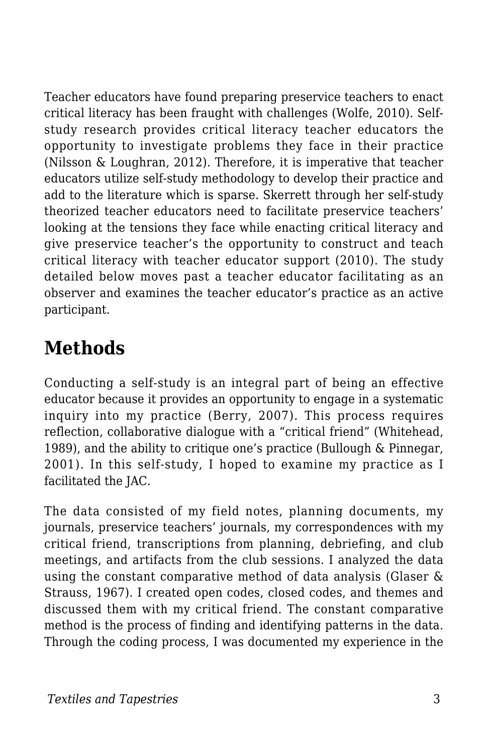Teacher educators have found preparing preservice teachers to enact critical literacy has been fraught with challenges (Wolfe, 2010). Selfstudy research provides critical literacy teacher educators the opportunity to investigate problems they face in their practice (Nilsson & Loughran, 2012). Therefore, it is imperative that teacher educators utilize self-study methodology to develop their practice and add to the literature which is sparse. Skerrett through her self-study theorized teacher educators need to facilitate preservice teachers' looking at the tensions they face while enacting critical literacy and give preservice teacher's the opportunity to construct and teach critical literacy with teacher educator support (2010). The study detailed below moves past a teacher educator facilitating as an observer and examines the teacher educator's practice as an active participant.

### **Methods**

Conducting a self-study is an integral part of being an effective educator because it provides an opportunity to engage in a systematic inquiry into my practice (Berry, 2007). This process requires reflection, collaborative dialogue with a "critical friend" (Whitehead, 1989), and the ability to critique one's practice (Bullough & Pinnegar, 2001). In this self-study, I hoped to examine my practice as I facilitated the JAC.

The data consisted of my field notes, planning documents, my journals, preservice teachers' journals, my correspondences with my critical friend, transcriptions from planning, debriefing, and club meetings, and artifacts from the club sessions. I analyzed the data using the constant comparative method of data analysis (Glaser & Strauss, 1967). I created open codes, closed codes, and themes and discussed them with my critical friend. The constant comparative method is the process of finding and identifying patterns in the data. Through the coding process, I was documented my experience in the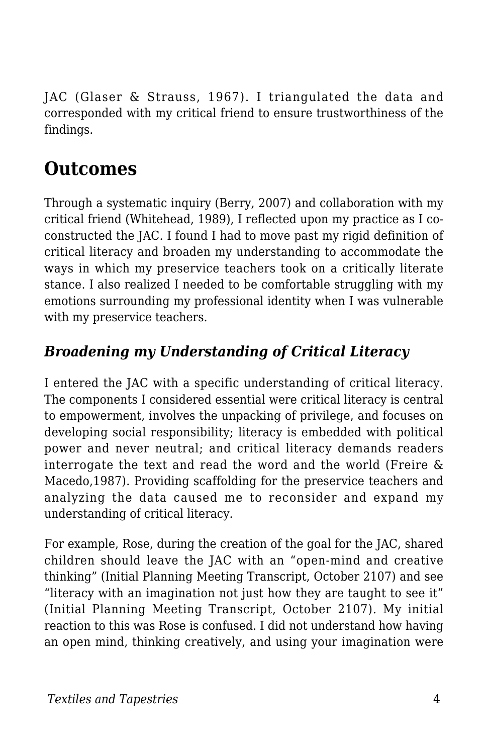JAC (Glaser & Strauss, 1967). I triangulated the data and corresponded with my critical friend to ensure trustworthiness of the findings.

# **Outcomes**

Through a systematic inquiry (Berry, 2007) and collaboration with my critical friend (Whitehead, 1989), I reflected upon my practice as I coconstructed the JAC. I found I had to move past my rigid definition of critical literacy and broaden my understanding to accommodate the ways in which my preservice teachers took on a critically literate stance. I also realized I needed to be comfortable struggling with my emotions surrounding my professional identity when I was vulnerable with my preservice teachers.

### *Broadening my Understanding of Critical Literacy*

I entered the JAC with a specific understanding of critical literacy. The components I considered essential were critical literacy is central to empowerment, involves the unpacking of privilege, and focuses on developing social responsibility; literacy is embedded with political power and never neutral; and critical literacy demands readers interrogate the text and read the word and the world (Freire & Macedo,1987). Providing scaffolding for the preservice teachers and analyzing the data caused me to reconsider and expand my understanding of critical literacy.

For example, Rose, during the creation of the goal for the JAC, shared children should leave the JAC with an "open-mind and creative thinking" (Initial Planning Meeting Transcript, October 2107) and see "literacy with an imagination not just how they are taught to see it" (Initial Planning Meeting Transcript, October 2107). My initial reaction to this was Rose is confused. I did not understand how having an open mind, thinking creatively, and using your imagination were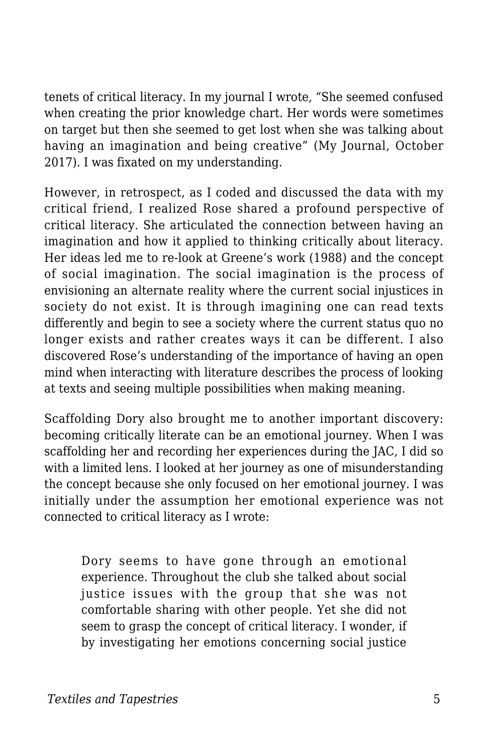tenets of critical literacy. In my journal I wrote, "She seemed confused when creating the prior knowledge chart. Her words were sometimes on target but then she seemed to get lost when she was talking about having an imagination and being creative" (My Journal, October 2017). I was fixated on my understanding.

However, in retrospect, as I coded and discussed the data with my critical friend, I realized Rose shared a profound perspective of critical literacy. She articulated the connection between having an imagination and how it applied to thinking critically about literacy. Her ideas led me to re-look at Greene's work (1988) and the concept of social imagination. The social imagination is the process of envisioning an alternate reality where the current social injustices in society do not exist. It is through imagining one can read texts differently and begin to see a society where the current status quo no longer exists and rather creates ways it can be different. I also discovered Rose's understanding of the importance of having an open mind when interacting with literature describes the process of looking at texts and seeing multiple possibilities when making meaning.

Scaffolding Dory also brought me to another important discovery: becoming critically literate can be an emotional journey. When I was scaffolding her and recording her experiences during the JAC, I did so with a limited lens. I looked at her journey as one of misunderstanding the concept because she only focused on her emotional journey. I was initially under the assumption her emotional experience was not connected to critical literacy as I wrote:

Dory seems to have gone through an emotional experience. Throughout the club she talked about social justice issues with the group that she was not comfortable sharing with other people. Yet she did not seem to grasp the concept of critical literacy. I wonder, if by investigating her emotions concerning social justice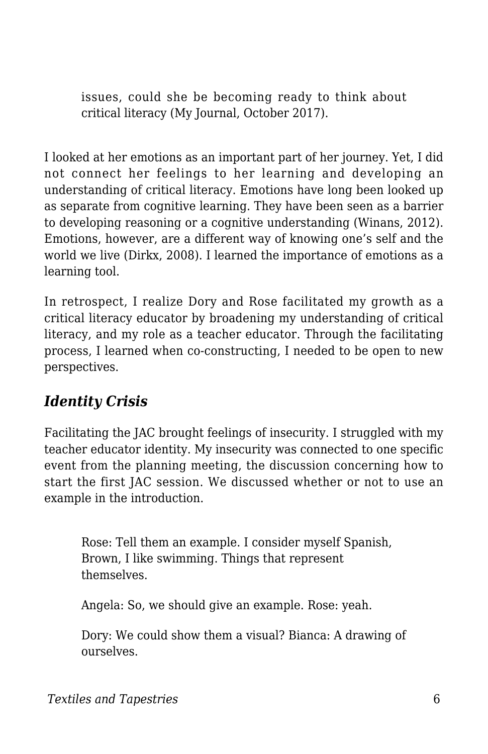issues, could she be becoming ready to think about critical literacy (My Journal, October 2017).

I looked at her emotions as an important part of her journey. Yet, I did not connect her feelings to her learning and developing an understanding of critical literacy. Emotions have long been looked up as separate from cognitive learning. They have been seen as a barrier to developing reasoning or a cognitive understanding (Winans, 2012). Emotions, however, are a different way of knowing one's self and the world we live (Dirkx, 2008). I learned the importance of emotions as a learning tool.

In retrospect, I realize Dory and Rose facilitated my growth as a critical literacy educator by broadening my understanding of critical literacy, and my role as a teacher educator. Through the facilitating process, I learned when co-constructing, I needed to be open to new perspectives.

### *Identity Crisis*

Facilitating the JAC brought feelings of insecurity. I struggled with my teacher educator identity. My insecurity was connected to one specific event from the planning meeting, the discussion concerning how to start the first JAC session. We discussed whether or not to use an example in the introduction.

Rose: Tell them an example. I consider myself Spanish, Brown, I like swimming. Things that represent themselves.

Angela: So, we should give an example. Rose: yeah.

Dory: We could show them a visual? Bianca: A drawing of ourselves.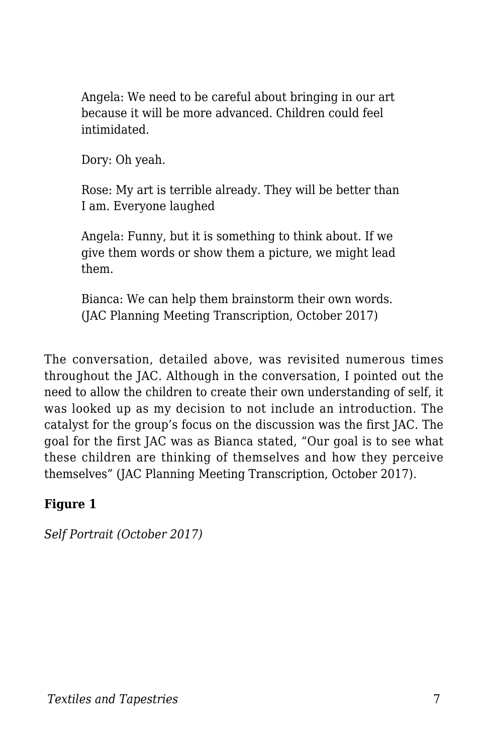Angela: We need to be careful about bringing in our art because it will be more advanced. Children could feel intimidated.

Dory: Oh yeah.

Rose: My art is terrible already. They will be better than I am. Everyone laughed

Angela: Funny, but it is something to think about. If we give them words or show them a picture, we might lead them.

Bianca: We can help them brainstorm their own words. (JAC Planning Meeting Transcription, October 2017)

The conversation, detailed above, was revisited numerous times throughout the JAC. Although in the conversation, I pointed out the need to allow the children to create their own understanding of self, it was looked up as my decision to not include an introduction. The catalyst for the group's focus on the discussion was the first JAC. The goal for the first JAC was as Bianca stated, "Our goal is to see what these children are thinking of themselves and how they perceive themselves" (JAC Planning Meeting Transcription, October 2017).

#### **Figure 1**

*Self Portrait (October 2017)*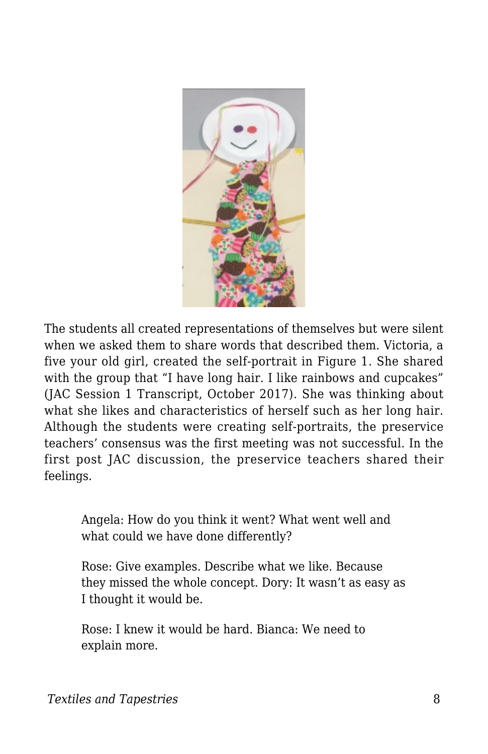

The students all created representations of themselves but were silent when we asked them to share words that described them. Victoria, a five your old girl, created the self-portrait in Figure 1. She shared with the group that "I have long hair. I like rainbows and cupcakes" (JAC Session 1 Transcript, October 2017). She was thinking about what she likes and characteristics of herself such as her long hair. Although the students were creating self-portraits, the preservice teachers' consensus was the first meeting was not successful. In the first post JAC discussion, the preservice teachers shared their feelings.

Angela: How do you think it went? What went well and what could we have done differently?

Rose: Give examples. Describe what we like. Because they missed the whole concept. Dory: It wasn't as easy as I thought it would be.

Rose: I knew it would be hard. Bianca: We need to explain more.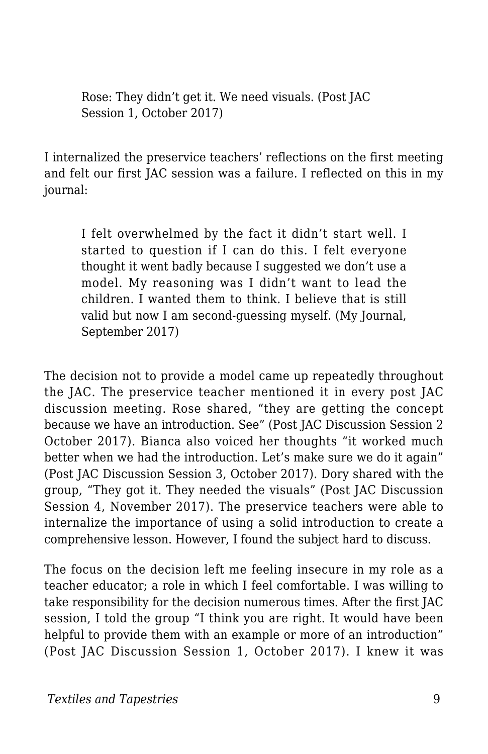Rose: They didn't get it. We need visuals. (Post JAC Session 1, October 2017)

I internalized the preservice teachers' reflections on the first meeting and felt our first JAC session was a failure. I reflected on this in my journal:

I felt overwhelmed by the fact it didn't start well. I started to question if I can do this. I felt everyone thought it went badly because I suggested we don't use a model. My reasoning was I didn't want to lead the children. I wanted them to think. I believe that is still valid but now I am second-guessing myself. (My Journal, September 2017)

The decision not to provide a model came up repeatedly throughout the JAC. The preservice teacher mentioned it in every post JAC discussion meeting. Rose shared, "they are getting the concept because we have an introduction. See" (Post JAC Discussion Session 2 October 2017). Bianca also voiced her thoughts "it worked much better when we had the introduction. Let's make sure we do it again" (Post JAC Discussion Session 3, October 2017). Dory shared with the group, "They got it. They needed the visuals" (Post JAC Discussion Session 4, November 2017). The preservice teachers were able to internalize the importance of using a solid introduction to create a comprehensive lesson. However, I found the subject hard to discuss.

The focus on the decision left me feeling insecure in my role as a teacher educator; a role in which I feel comfortable. I was willing to take responsibility for the decision numerous times. After the first JAC session, I told the group "I think you are right. It would have been helpful to provide them with an example or more of an introduction" (Post JAC Discussion Session 1, October 2017). I knew it was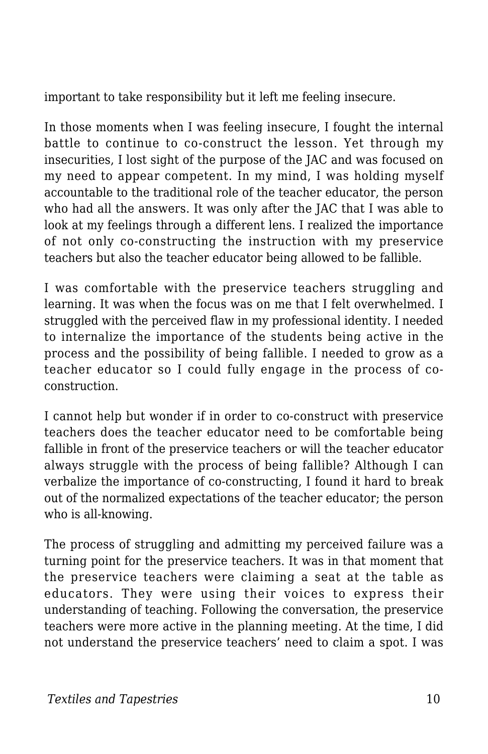important to take responsibility but it left me feeling insecure.

In those moments when I was feeling insecure, I fought the internal battle to continue to co-construct the lesson. Yet through my insecurities, I lost sight of the purpose of the JAC and was focused on my need to appear competent. In my mind, I was holding myself accountable to the traditional role of the teacher educator, the person who had all the answers. It was only after the JAC that I was able to look at my feelings through a different lens. I realized the importance of not only co-constructing the instruction with my preservice teachers but also the teacher educator being allowed to be fallible.

I was comfortable with the preservice teachers struggling and learning. It was when the focus was on me that I felt overwhelmed. I struggled with the perceived flaw in my professional identity. I needed to internalize the importance of the students being active in the process and the possibility of being fallible. I needed to grow as a teacher educator so I could fully engage in the process of coconstruction.

I cannot help but wonder if in order to co-construct with preservice teachers does the teacher educator need to be comfortable being fallible in front of the preservice teachers or will the teacher educator always struggle with the process of being fallible? Although I can verbalize the importance of co-constructing, I found it hard to break out of the normalized expectations of the teacher educator; the person who is all-knowing.

The process of struggling and admitting my perceived failure was a turning point for the preservice teachers. It was in that moment that the preservice teachers were claiming a seat at the table as educators. They were using their voices to express their understanding of teaching. Following the conversation, the preservice teachers were more active in the planning meeting. At the time, I did not understand the preservice teachers' need to claim a spot. I was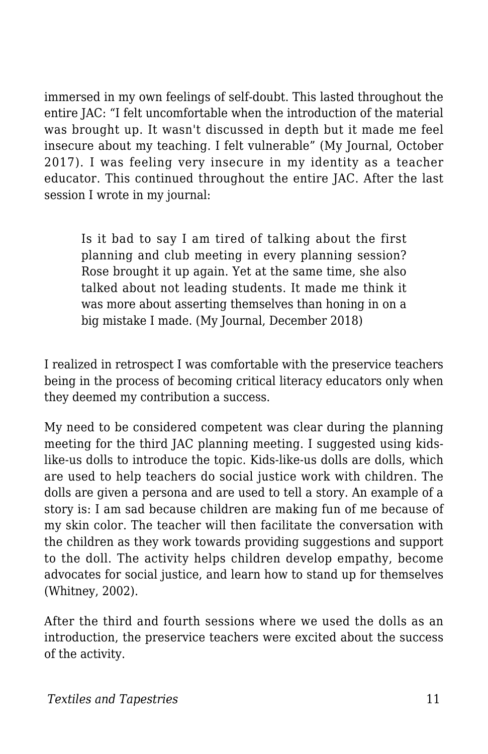immersed in my own feelings of self-doubt. This lasted throughout the entire JAC: "I felt uncomfortable when the introduction of the material was brought up. It wasn't discussed in depth but it made me feel insecure about my teaching. I felt vulnerable" (My Journal, October 2017). I was feeling very insecure in my identity as a teacher educator. This continued throughout the entire JAC. After the last session I wrote in my journal:

Is it bad to say I am tired of talking about the first planning and club meeting in every planning session? Rose brought it up again. Yet at the same time, she also talked about not leading students. It made me think it was more about asserting themselves than honing in on a big mistake I made. (My Journal, December 2018)

I realized in retrospect I was comfortable with the preservice teachers being in the process of becoming critical literacy educators only when they deemed my contribution a success.

My need to be considered competent was clear during the planning meeting for the third JAC planning meeting. I suggested using kidslike-us dolls to introduce the topic. Kids-like-us dolls are dolls, which are used to help teachers do social justice work with children. The dolls are given a persona and are used to tell a story. An example of a story is: I am sad because children are making fun of me because of my skin color. The teacher will then facilitate the conversation with the children as they work towards providing suggestions and support to the doll. The activity helps children develop empathy, become advocates for social justice, and learn how to stand up for themselves (Whitney, 2002).

After the third and fourth sessions where we used the dolls as an introduction, the preservice teachers were excited about the success of the activity.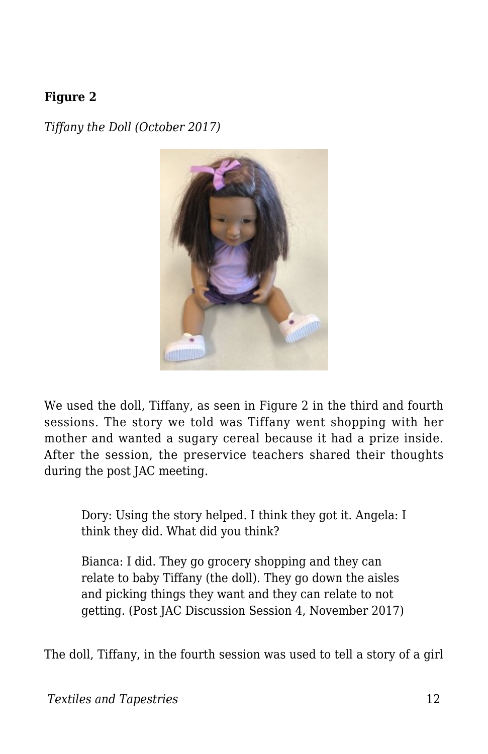#### **Figure 2**

*Tiffany the Doll (October 2017)*



We used the doll, Tiffany, as seen in Figure 2 in the third and fourth sessions. The story we told was Tiffany went shopping with her mother and wanted a sugary cereal because it had a prize inside. After the session, the preservice teachers shared their thoughts during the post JAC meeting.

Dory: Using the story helped. I think they got it. Angela: I think they did. What did you think?

Bianca: I did. They go grocery shopping and they can relate to baby Tiffany (the doll). They go down the aisles and picking things they want and they can relate to not getting. (Post JAC Discussion Session 4, November 2017)

The doll, Tiffany, in the fourth session was used to tell a story of a girl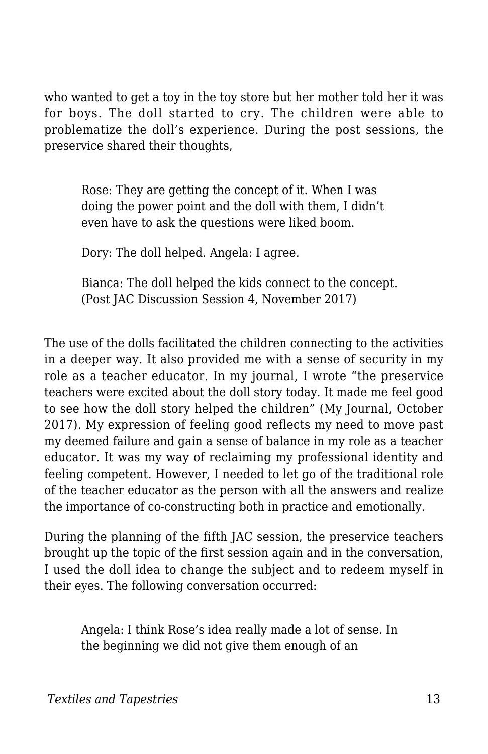who wanted to get a toy in the toy store but her mother told her it was for boys. The doll started to cry. The children were able to problematize the doll's experience. During the post sessions, the preservice shared their thoughts,

Rose: They are getting the concept of it. When I was doing the power point and the doll with them, I didn't even have to ask the questions were liked boom.

Dory: The doll helped. Angela: I agree.

Bianca: The doll helped the kids connect to the concept. (Post JAC Discussion Session 4, November 2017)

The use of the dolls facilitated the children connecting to the activities in a deeper way. It also provided me with a sense of security in my role as a teacher educator. In my journal, I wrote "the preservice teachers were excited about the doll story today. It made me feel good to see how the doll story helped the children" (My Journal, October 2017). My expression of feeling good reflects my need to move past my deemed failure and gain a sense of balance in my role as a teacher educator. It was my way of reclaiming my professional identity and feeling competent. However, I needed to let go of the traditional role of the teacher educator as the person with all the answers and realize the importance of co-constructing both in practice and emotionally.

During the planning of the fifth JAC session, the preservice teachers brought up the topic of the first session again and in the conversation, I used the doll idea to change the subject and to redeem myself in their eyes. The following conversation occurred:

Angela: I think Rose's idea really made a lot of sense. In the beginning we did not give them enough of an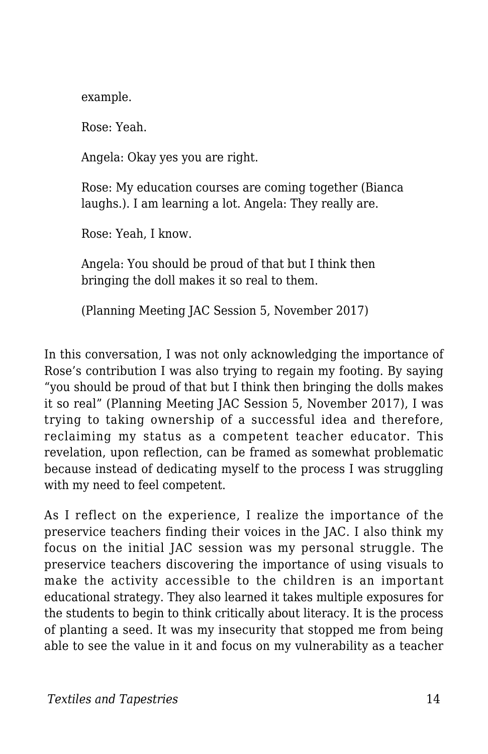example.

Rose: Yeah.

Angela: Okay yes you are right.

Rose: My education courses are coming together (Bianca laughs.). I am learning a lot. Angela: They really are.

Rose: Yeah, I know.

Angela: You should be proud of that but I think then bringing the doll makes it so real to them.

(Planning Meeting JAC Session 5, November 2017)

In this conversation, I was not only acknowledging the importance of Rose's contribution I was also trying to regain my footing. By saying "you should be proud of that but I think then bringing the dolls makes it so real" (Planning Meeting JAC Session 5, November 2017), I was trying to taking ownership of a successful idea and therefore, reclaiming my status as a competent teacher educator. This revelation, upon reflection, can be framed as somewhat problematic because instead of dedicating myself to the process I was struggling with my need to feel competent.

As I reflect on the experience, I realize the importance of the preservice teachers finding their voices in the JAC. I also think my focus on the initial JAC session was my personal struggle. The preservice teachers discovering the importance of using visuals to make the activity accessible to the children is an important educational strategy. They also learned it takes multiple exposures for the students to begin to think critically about literacy. It is the process of planting a seed. It was my insecurity that stopped me from being able to see the value in it and focus on my vulnerability as a teacher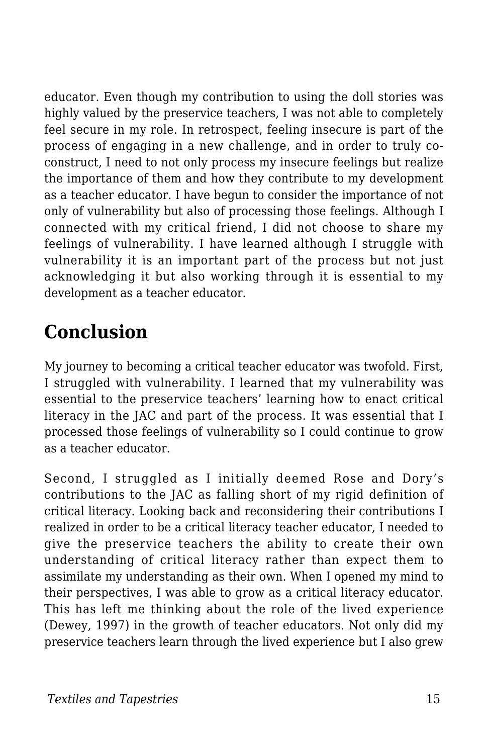educator. Even though my contribution to using the doll stories was highly valued by the preservice teachers, I was not able to completely feel secure in my role. In retrospect, feeling insecure is part of the process of engaging in a new challenge, and in order to truly coconstruct, I need to not only process my insecure feelings but realize the importance of them and how they contribute to my development as a teacher educator. I have begun to consider the importance of not only of vulnerability but also of processing those feelings. Although I connected with my critical friend, I did not choose to share my feelings of vulnerability. I have learned although I struggle with vulnerability it is an important part of the process but not just acknowledging it but also working through it is essential to my development as a teacher educator.

# **Conclusion**

My journey to becoming a critical teacher educator was twofold. First, I struggled with vulnerability. I learned that my vulnerability was essential to the preservice teachers' learning how to enact critical literacy in the JAC and part of the process. It was essential that I processed those feelings of vulnerability so I could continue to grow as a teacher educator.

Second, I struggled as I initially deemed Rose and Dory's contributions to the JAC as falling short of my rigid definition of critical literacy. Looking back and reconsidering their contributions I realized in order to be a critical literacy teacher educator, I needed to give the preservice teachers the ability to create their own understanding of critical literacy rather than expect them to assimilate my understanding as their own. When I opened my mind to their perspectives, I was able to grow as a critical literacy educator. This has left me thinking about the role of the lived experience (Dewey, 1997) in the growth of teacher educators. Not only did my preservice teachers learn through the lived experience but I also grew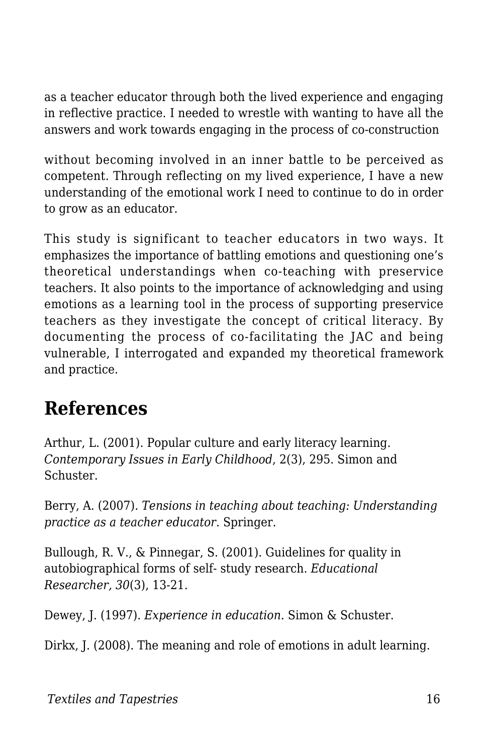as a teacher educator through both the lived experience and engaging in reflective practice. I needed to wrestle with wanting to have all the answers and work towards engaging in the process of co-construction

without becoming involved in an inner battle to be perceived as competent. Through reflecting on my lived experience, I have a new understanding of the emotional work I need to continue to do in order to grow as an educator.

This study is significant to teacher educators in two ways. It emphasizes the importance of battling emotions and questioning one's theoretical understandings when co-teaching with preservice teachers. It also points to the importance of acknowledging and using emotions as a learning tool in the process of supporting preservice teachers as they investigate the concept of critical literacy. By documenting the process of co-facilitating the JAC and being vulnerable, I interrogated and expanded my theoretical framework and practice.

### **References**

Arthur, L. (2001). Popular culture and early literacy learning. *Contemporary Issues in Early Childhood*, 2(3), 295. Simon and Schuster.

Berry, A. (2007). *Tensions in teaching about teaching: Understanding practice as a teacher educator*. Springer.

Bullough, R. V., & Pinnegar, S. (2001). Guidelines for quality in autobiographical forms of self- study research. *Educational Researcher, 30*(3), 13-21.

Dewey, J. (1997). *Experience in education.* Simon & Schuster.

Dirkx, J. (2008). The meaning and role of emotions in adult learning.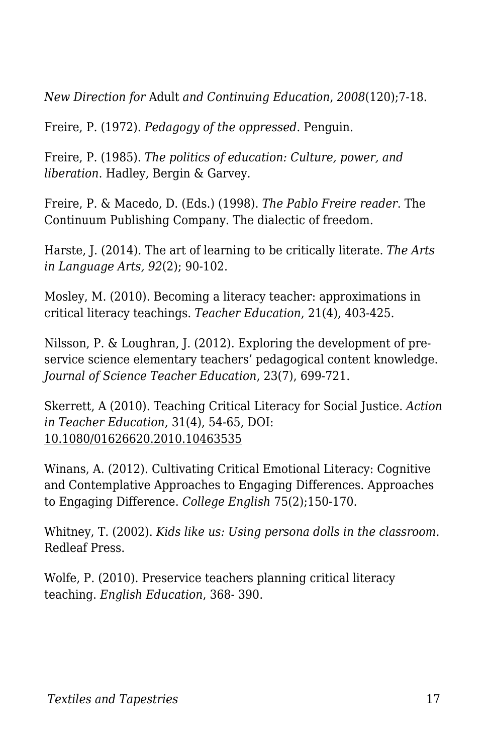*New Direction for* Adult *and Continuing Education*, *2008*(120);7-18.

Freire, P. (1972). *Pedagogy of the oppressed*. Penguin.

Freire, P. (1985). *The politics of education: Culture, power, and liberation*. Hadley, Bergin & Garvey.

Freire, P. & Macedo, D. (Eds.) (1998). *The Pablo Freire reader*. The Continuum Publishing Company. The dialectic of freedom.

Harste, J. (2014). The art of learning to be critically literate. *The Arts in Language Arts, 92*(2); 90-102.

Mosley, M. (2010). Becoming a literacy teacher: approximations in critical literacy teachings. *Teacher Education*, 21(4), 403-425.

Nilsson, P. & Loughran, J. (2012). Exploring the development of preservice science elementary teachers' pedagogical content knowledge. *Journal of Science Teacher Education*, 23(7), 699-721.

Skerrett, A (2010). Teaching Critical Literacy for Social Justice. *Action in Teacher Education*, 31(4), 54-65, DOI: 10.1080/01626620.2010.10463535

Winans, A. (2012). Cultivating Critical Emotional Literacy: Cognitive and Contemplative Approaches to Engaging Differences. Approaches to Engaging Difference. *College English* 75(2);150-170.

Whitney, T. (2002). *Kids like us: Using persona dolls in the classroom.* Redleaf Press.

Wolfe, P. (2010). Preservice teachers planning critical literacy teaching. *English Education*, 368- 390.